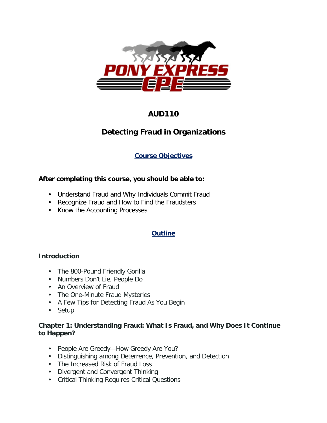

# **AUD110**

# **Detecting Fraud in Organizations**

# **Course Objectives**

## **After completing this course, you should be able to:**

- Understand Fraud and Why Individuals Commit Fraud
- Recognize Fraud and How to Find the Fraudsters
- . Know the Accounting Processes

## **Outline**

### **Introduction**

- . The 800-Pound Friendly Gorilla
- Numbers Don't Lie, People Do
- An Overview of Fraud
- . The One-Minute Fraud Mysteries
- A Few Tips for Detecting Fraud As You Begin
- . Setup

## **Chapter 1: Understanding Fraud: What Is Fraud, and Why Does It Continue to Happen?**

- People Are Greedy—How Greedy Are You?
- Distinguishing among Deterrence, Prevention, and Detection
- The Increased Risk of Fraud Loss
- Divergent and Convergent Thinking
- Critical Thinking Requires Critical Questions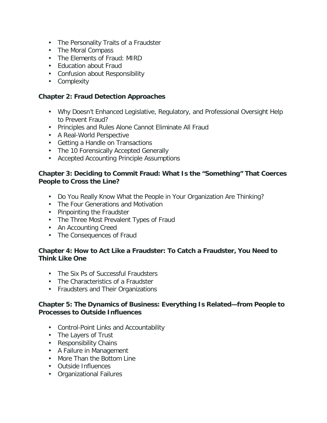- The Personality Traits of a Fraudster
- . The Moral Compass
- The Elements of Fraud: MIRD
- Fducation about Fraud
- Confusion about Responsibility
- Complexity

#### **Chapter 2: Fraud Detection Approaches**

- Why Doesn't Enhanced Legislative, Regulatory, and Professional Oversight Help to Prevent Fraud?
- Principles and Rules Alone Cannot Eliminate All Fraud
- A Real-World Perspective
- Getting a Handle on Transactions
- The 10 Forensically Accepted Generally
- Accepted Accounting Principle Assumptions

#### **Chapter 3: Deciding to Commit Fraud: What Is the "Something" That Coerces People to Cross the Line?**

- Do You Really Know What the People in Your Organization Are Thinking?
- The Four Generations and Motivation
- Pinpointing the Fraudster
- The Three Most Prevalent Types of Fraud
- An Accounting Creed
- . The Consequences of Fraud

#### **Chapter 4: How to Act Like a Fraudster: To Catch a Fraudster, You Need to Think Like One**

- The Six Ps of Successful Fraudsters
- The Characteristics of a Fraudster
- Fraudsters and Their Organizations

#### **Chapter 5: The Dynamics of Business: Everything Is Related—from People to Processes to Outside Influences**

- Control-Point Links and Accountability
- . The Layers of Trust
- Responsibility Chains
- A Failure in Management
- More Than the Bottom Line
- Outside Influences
- Organizational Failures